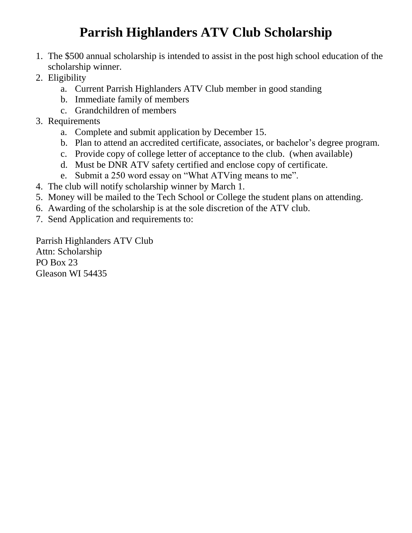## **Parrish Highlanders ATV Club Scholarship**

- 1. The \$500 annual scholarship is intended to assist in the post high school education of the scholarship winner.
- 2. Eligibility
	- a. Current Parrish Highlanders ATV Club member in good standing
	- b. Immediate family of members
	- c. Grandchildren of members
- 3. Requirements
	- a. Complete and submit application by December 15.
	- b. Plan to attend an accredited certificate, associates, or bachelor's degree program.
	- c. Provide copy of college letter of acceptance to the club. (when available)
	- d. Must be DNR ATV safety certified and enclose copy of certificate.
	- e. Submit a 250 word essay on "What ATVing means to me".
- 4. The club will notify scholarship winner by March 1.
- 5. Money will be mailed to the Tech School or College the student plans on attending.
- 6. Awarding of the scholarship is at the sole discretion of the ATV club.
- 7. Send Application and requirements to:

Parrish Highlanders ATV Club Attn: Scholarship PO Box 23 Gleason WI 54435